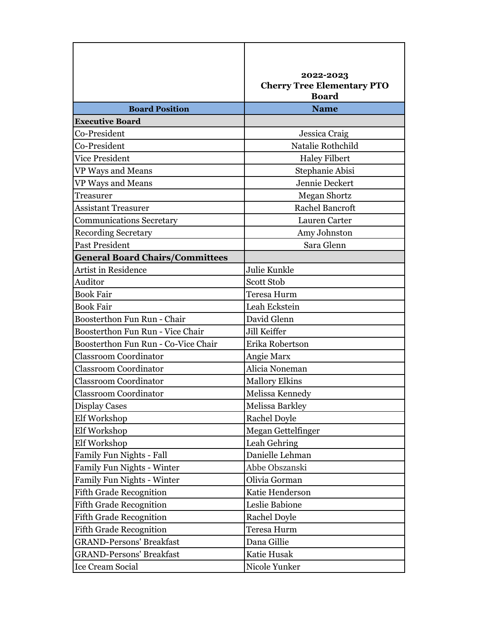|                                        | 2022-2023<br><b>Cherry Tree Elementary PTO</b><br><b>Board</b> |
|----------------------------------------|----------------------------------------------------------------|
| <b>Board Position</b>                  | <b>Name</b>                                                    |
| <b>Executive Board</b>                 |                                                                |
| Co-President                           | Jessica Craig                                                  |
| Co-President                           | Natalie Rothchild                                              |
| Vice President                         | <b>Haley Filbert</b>                                           |
| VP Ways and Means                      | Stephanie Abisi                                                |
| VP Ways and Means                      | Jennie Deckert                                                 |
| Treasurer                              | Megan Shortz                                                   |
| Assistant Treasurer                    | <b>Rachel Bancroft</b>                                         |
| <b>Communications Secretary</b>        | Lauren Carter                                                  |
| <b>Recording Secretary</b>             | Amy Johnston                                                   |
| <b>Past President</b>                  | Sara Glenn                                                     |
| <b>General Board Chairs/Committees</b> |                                                                |
| <b>Artist in Residence</b>             | Julie Kunkle                                                   |
| Auditor                                | <b>Scott Stob</b>                                              |
| <b>Book Fair</b>                       | Teresa Hurm                                                    |
| <b>Book Fair</b>                       | Leah Eckstein                                                  |
| Boosterthon Fun Run - Chair            | David Glenn                                                    |
| Boosterthon Fun Run - Vice Chair       | Jill Keiffer                                                   |
| Boosterthon Fun Run - Co-Vice Chair    | Erika Robertson                                                |
| <b>Classroom Coordinator</b>           | Angie Marx                                                     |
| <b>Classroom Coordinator</b>           | Alicia Noneman                                                 |
| <b>Classroom Coordinator</b>           | <b>Mallory Elkins</b>                                          |
| <b>Classroom Coordinator</b>           | Melissa Kennedy                                                |
| Display Cases                          | Melissa Barkley                                                |
| Elf Workshop                           | <b>Rachel Doyle</b>                                            |
| Elf Workshop                           | Megan Gettelfinger                                             |
| Elf Workshop                           | Leah Gehring                                                   |
| Family Fun Nights - Fall               | Danielle Lehman                                                |
| Family Fun Nights - Winter             | Abbe Obszanski                                                 |
| Family Fun Nights - Winter             | Olivia Gorman                                                  |
| <b>Fifth Grade Recognition</b>         | Katie Henderson                                                |
| <b>Fifth Grade Recognition</b>         | Leslie Babione                                                 |
| <b>Fifth Grade Recognition</b>         | Rachel Doyle                                                   |
| <b>Fifth Grade Recognition</b>         | Teresa Hurm                                                    |
| <b>GRAND-Persons' Breakfast</b>        | Dana Gillie                                                    |
| <b>GRAND-Persons' Breakfast</b>        | Katie Husak                                                    |
| Ice Cream Social                       | Nicole Yunker                                                  |

٦

П